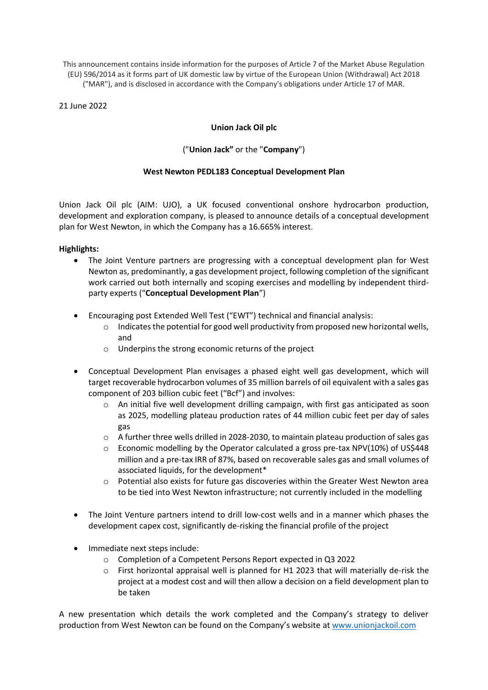This announcement contains inside information for the purposes of Article 7 of the Market Abuse Regulation (EU) 596/2014 as it forms part of UK domestic law by virtue of the European Union (Withdrawal) Act 2018 ("MAR"), and is disclosed in accordance with the Company's obligations under Article 17 of MAR.

## 21 June 2022

# **Union Jack Oil plc**

# ("**Union Jack"** or the "**Company**")

## **West Newton PEDL183 Conceptual Development Plan**

Union Jack Oil plc (AIM: UJO), a UK focused conventional onshore hydrocarbon production, development and exploration company, is pleased to announce details of a conceptual development plan for West Newton, in which the Company has a 16.665% interest.

## **Highlights:**

- The Joint Venture partners are progressing with a conceptual development plan for West Newton as, predominantly, a gas development project, following completion of the significant work carried out both internally and scoping exercises and modelling by independent thirdparty experts ("**Conceptual Development Plan**")
- Encouraging post Extended Well Test ("EWT") technical and financial analysis:
	- o Indicates the potential for good well productivity from proposed new horizontal wells, and
	- o Underpins the strong economic returns of the project
- Conceptual Development Plan envisages a phased eight well gas development, which will target recoverable hydrocarbon volumes of 35 million barrels of oil equivalent with a sales gas component of 203 billion cubic feet ("Bcf") and involves:
	- $\circ$  An initial five well development drilling campaign, with first gas anticipated as soon as 2025, modelling plateau production rates of 44 million cubic feet per day of sales gas
	- $\circ$  A further three wells drilled in 2028-2030, to maintain plateau production of sales gas
	- $\circ$  Economic modelling by the Operator calculated a gross pre-tax NPV(10%) of US\$448 million and a pre-tax IRR of 87%, based on recoverable sales gas and small volumes of associated liquids, for the development\*
	- o Potential also exists for future gas discoveries within the Greater West Newton area to be tied into West Newton infrastructure; not currently included in the modelling
- The Joint Venture partners intend to drill low-cost wells and in a manner which phases the development capex cost, significantly de-risking the financial profile of the project
- Immediate next steps include:
	- o Completion of a Competent Persons Report expected in Q3 2022
	- $\circ$  First horizontal appraisal well is planned for H1 2023 that will materially de-risk the project at a modest cost and will then allow a decision on a field development plan to be taken

A new presentation which details the work completed and the Company's strategy to deliver production from West Newton can be found on the Company's website at [www.unionjackoil.com](http://www.unionjackoil.com/)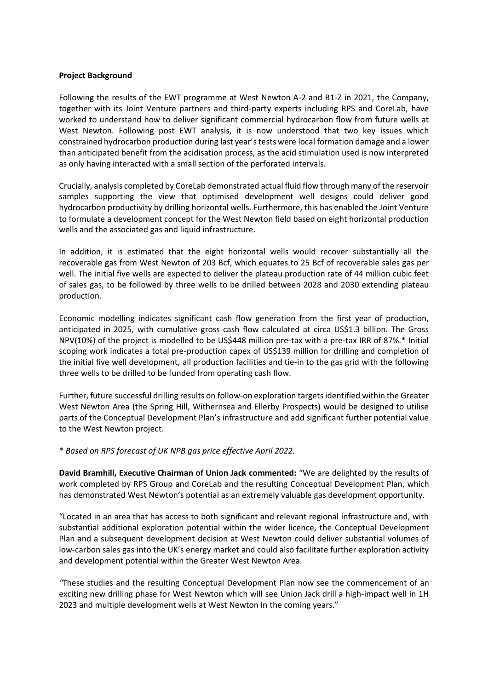#### **Project Background**

Following the results of the EWT programme at West Newton A-2 and B1-Z in 2021, the Company, together with its Joint Venture partners and third-party experts including RPS and CoreLab, have worked to understand how to deliver significant commercial hydrocarbon flow from future wells at West Newton. Following post EWT analysis, it is now understood that two key issues which constrained hydrocarbon production during last year's tests were local formation damage and a lower than anticipated benefit from the acidisation process, as the acid stimulation used is now interpreted as only having interacted with a small section of the perforated intervals.

Crucially, analysis completed by CoreLab demonstrated actual fluid flow through many of the reservoir samples supporting the view that optimised development well designs could deliver good hydrocarbon productivity by drilling horizontal wells. Furthermore, this has enabled the Joint Venture to formulate a development concept for the West Newton field based on eight horizontal production wells and the associated gas and liquid infrastructure.

In addition, it is estimated that the eight horizontal wells would recover substantially all the recoverable gas from West Newton of 203 Bcf, which equates to 25 Bcf of recoverable sales gas per well. The initial five wells are expected to deliver the plateau production rate of 44 million cubic feet of sales gas, to be followed by three wells to be drilled between 2028 and 2030 extending plateau production.

Economic modelling indicates significant cash flow generation from the first year of production, anticipated in 2025, with cumulative gross cash flow calculated at circa US\$1.3 billion. The Gross NPV(10%) of the project is modelled to be US\$448 million pre-tax with a pre-tax IRR of 87%.\* Initial scoping work indicates a total pre-production capex of US\$139 million for drilling and completion of the initial five well development, all production facilities and tie-in to the gas grid with the following three wells to be drilled to be funded from operating cash flow.

Further, future successful drilling results on follow-on exploration targets identified within the Greater West Newton Area (the Spring Hill, Withernsea and Ellerby Prospects) would be designed to utilise parts of the Conceptual Development Plan's infrastructure and add significant further potential value to the West Newton project.

\* *Based on RPS forecast of UK NPB gas price effective April 2022.*

**David Bramhill, Executive Chairman of Union Jack commented:** "We are delighted by the results of work completed by RPS Group and CoreLab and the resulting Conceptual Development Plan, which has demonstrated West Newton's potential as an extremely valuable gas development opportunity.

"Located in an area that has access to both significant and relevant regional infrastructure and, with substantial additional exploration potential within the wider licence, the Conceptual Development Plan and a subsequent development decision at West Newton could deliver substantial volumes of low-carbon sales gas into the UK's energy market and could also facilitate further exploration activity and development potential within the Greater West Newton Area.

*"*These studies and the resulting Conceptual Development Plan now see the commencement of an exciting new drilling phase for West Newton which will see Union Jack drill a high-impact well in 1H 2023 and multiple development wells at West Newton in the coming years."